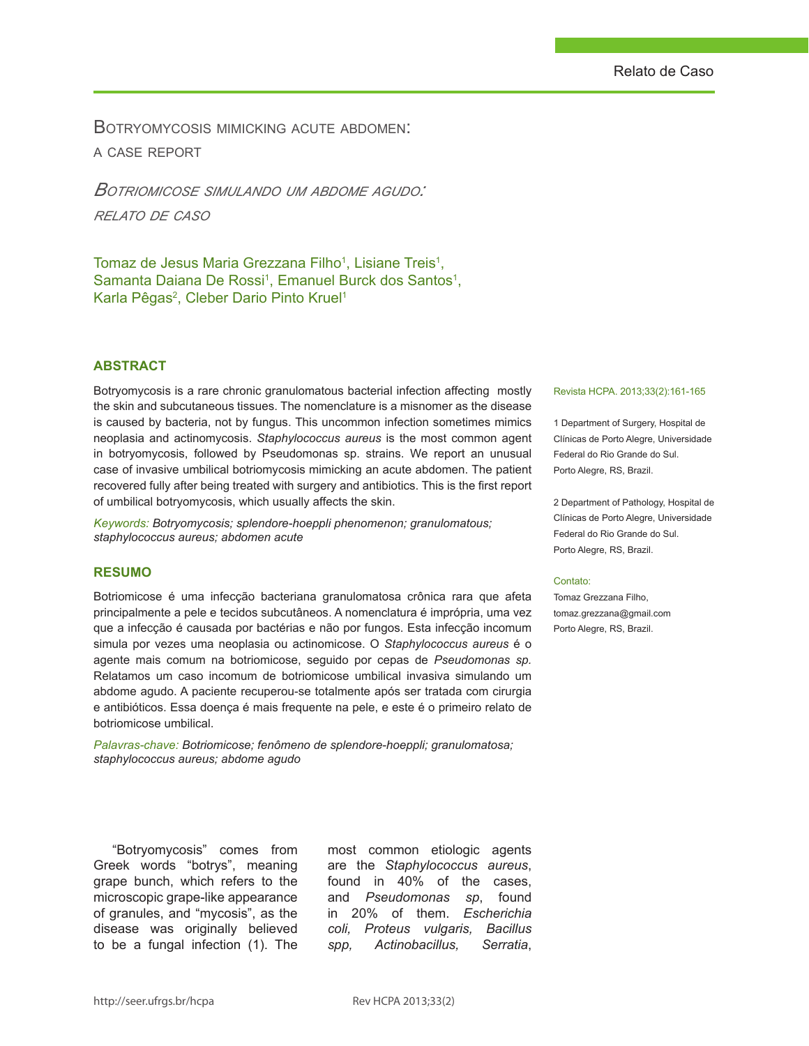Botryomycosis mimicking acute abdomen: a case report

*Botriomicose simulando um abdome agudo: relato de caso*

Tomaz de Jesus Maria Grezzana Filho<sup>1</sup>, Lisiane Treis<sup>1</sup>, Samanta Daiana De Rossi<sup>1</sup>, Emanuel Burck dos Santos<sup>1</sup>, Karla Pêgas<sup>2</sup>, Cleber Dario Pinto Kruel<sup>1</sup>

### **ABSTRACT**

Botryomycosis is a rare chronic granulomatous bacterial infection affecting mostly the skin and subcutaneous tissues. The nomenclature is a misnomer as the disease is caused by bacteria, not by fungus. This uncommon infection sometimes mimics neoplasia and actinomycosis. *Staphylococcus aureus* is the most common agent in botryomycosis, followed by Pseudomonas sp. strains. We report an unusual case of invasive umbilical botriomycosis mimicking an acute abdomen. The patient recovered fully after being treated with surgery and antibiotics. This is the first report of umbilical botryomycosis, which usually affects the skin.

*Keywords: Botryomycosis; splendore-hoeppli phenomenon; granulomatous; staphylococcus aureus; abdomen acute*

### **RESUMO**

Botriomicose é uma infecção bacteriana granulomatosa crônica rara que afeta principalmente a pele e tecidos subcutâneos. A nomenclatura é imprópria, uma vez que a infecção é causada por bactérias e não por fungos. Esta infecção incomum simula por vezes uma neoplasia ou actinomicose. O *Staphylococcus aureus* é o agente mais comum na botriomicose, seguido por cepas de *Pseudomonas sp.*  Relatamos um caso incomum de botriomicose umbilical invasiva simulando um abdome agudo. A paciente recuperou-se totalmente após ser tratada com cirurgia e antibióticos. Essa doença é mais frequente na pele, e este é o primeiro relato de botriomicose umbilical.

*Palavras-chave: Botriomicose; fenômeno de splendore-hoeppli; granulomatosa; staphylococcus aureus; abdome agudo* 

### Revista HCPA. 2013;33(2):161-165

1 Department of Surgery, Hospital de Clínicas de Porto Alegre, Universidade Federal do Rio Grande do Sul. Porto Alegre, RS, Brazil.

2 Department of Pathology, Hospital de Clínicas de Porto Alegre, Universidade Federal do Rio Grande do Sul. Porto Alegre, RS, Brazil.

#### Contato:

Tomaz Grezzana Filho, tomaz.grezzana@gmail.com Porto Alegre, RS, Brazil.

"Botryomycosis" comes from Greek words "botrys", meaning grape bunch, which refers to the microscopic grape-like appearance of granules, and "mycosis", as the disease was originally believed to be a fungal infection (1). The

most common etiologic agents are the *Staphylococcus aureus*, found in 40% of the cases, and *Pseudomonas sp*, found in 20% of them. *Escherichia coli, Proteus vulgaris, Bacillus spp, Actinobacillus, Serratia*,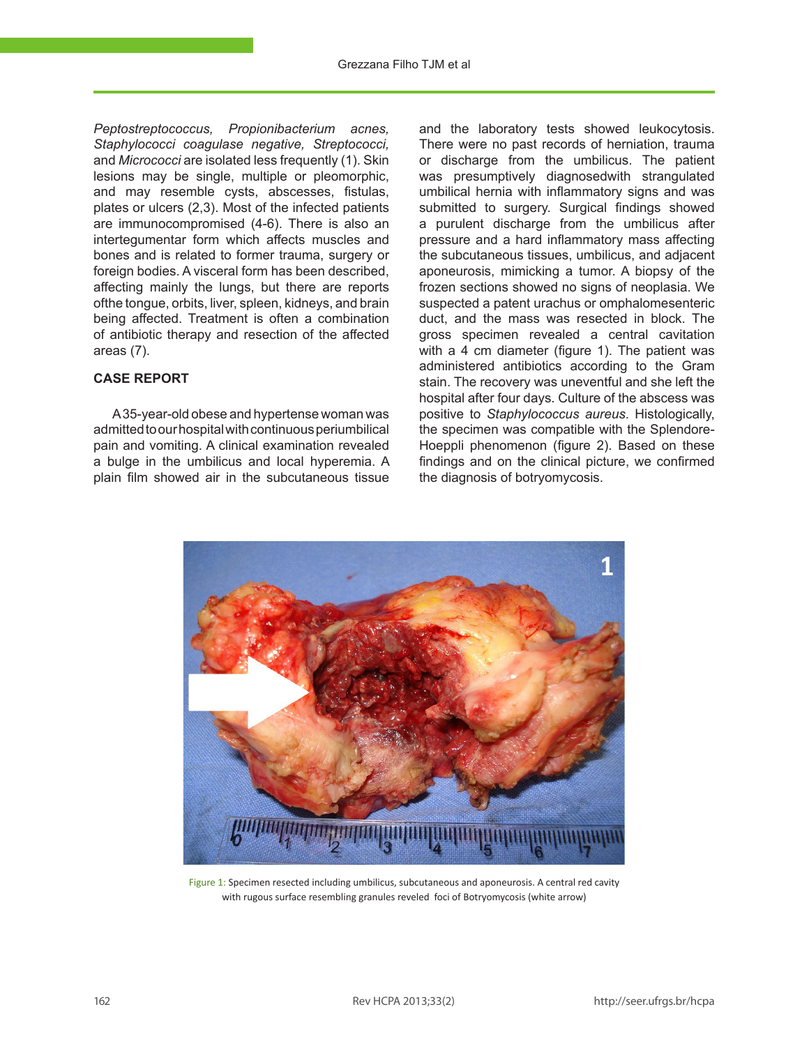*Peptostreptococcus, Propionibacterium acnes, Staphylococci coagulase negative, Streptococci,*  and *Micrococci* are isolated less frequently (1). Skin lesions may be single, multiple or pleomorphic, and may resemble cysts, abscesses, fistulas, plates or ulcers (2,3). Most of the infected patients are immunocompromised (4-6). There is also an intertegumentar form which affects muscles and bones and is related to former trauma, surgery or foreign bodies. A visceral form has been described, affecting mainly the lungs, but there are reports ofthe tongue, orbits, liver, spleen, kidneys, and brain being affected. Treatment is often a combination of antibiotic therapy and resection of the affected areas (7).

# **CASE REPORT**

A 35-year-old obese and hypertense woman was admitted to our hospital with continuous periumbilical pain and vomiting. A clinical examination revealed a bulge in the umbilicus and local hyperemia. A plain film showed air in the subcutaneous tissue

and the laboratory tests showed leukocytosis. There were no past records of herniation, trauma or discharge from the umbilicus. The patient was presumptively diagnosedwith strangulated umbilical hernia with inflammatory signs and was submitted to surgery. Surgical findings showed a purulent discharge from the umbilicus after pressure and a hard inflammatory mass affecting the subcutaneous tissues, umbilicus, and adjacent aponeurosis, mimicking a tumor. A biopsy of the frozen sections showed no signs of neoplasia. We suspected a patent urachus or omphalomesenteric duct, and the mass was resected in block. The gross specimen revealed a central cavitation with a 4 cm diameter (figure 1). The patient was administered antibiotics according to the Gram stain. The recovery was uneventful and she left the hospital after four days. Culture of the abscess was positive to *Staphylococcus aureus*. Histologically, the specimen was compatible with the Splendore-Hoeppli phenomenon (figure 2). Based on these findings and on the clinical picture, we confirmed the diagnosis of botryomycosis.



Figure 1: Specimen resected including umbilicus, subcutaneous and aponeurosis. A central red cavity with rugous surface resembling granules reveled foci of Botryomycosis (white arrow)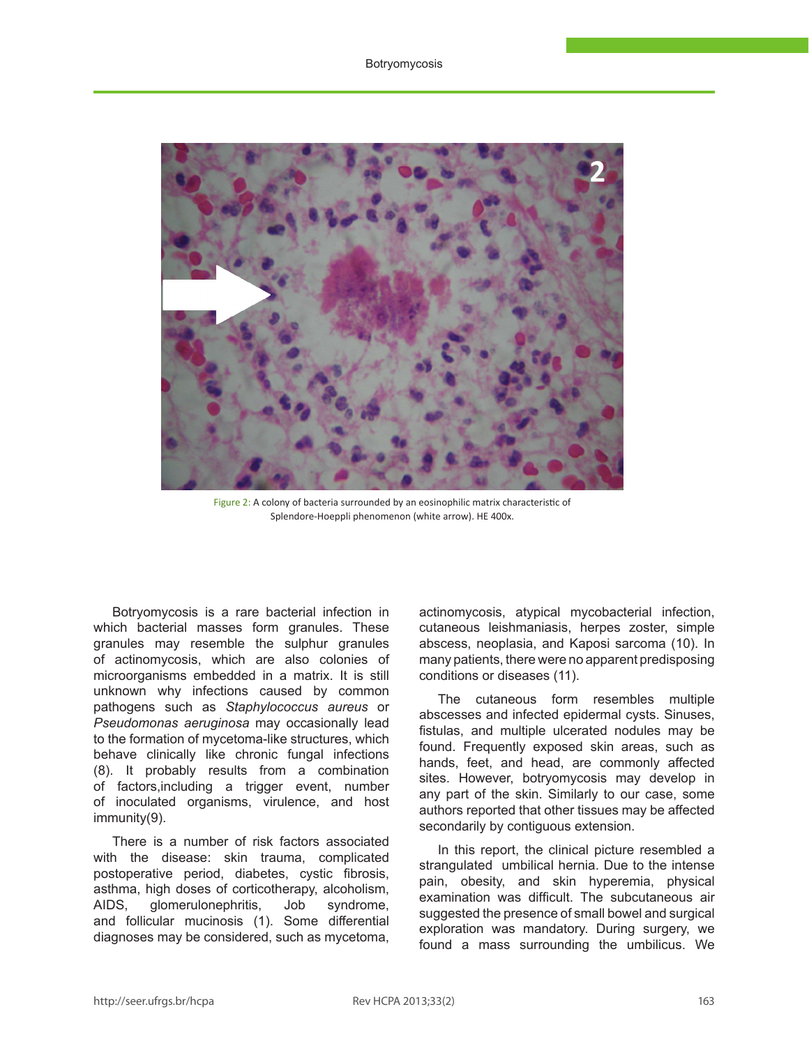

Figure 2: A colony of bacteria surrounded by an eosinophilic matrix characteristic of Splendore-Hoeppli phenomenon (white arrow). HE 400x.

Botryomycosis is a rare bacterial infection in which bacterial masses form granules. These granules may resemble the sulphur granules of actinomycosis, which are also colonies of microorganisms embedded in a matrix. It is still unknown why infections caused by common pathogens such as *Staphylococcus aureus* or *Pseudomonas aeruginosa* may occasionally lead to the formation of mycetoma-like structures, which behave clinically like chronic fungal infections (8). It probably results from a combination of factors,including a trigger event, number of inoculated organisms, virulence, and host immunity(9).

There is a number of risk factors associated with the disease: skin trauma, complicated postoperative period, diabetes, cystic fibrosis, asthma, high doses of corticotherapy, alcoholism,<br>AIDS, glomerulonephritis, Job svndrome. AIDS, glomerulonephritis, Job syndrome, and follicular mucinosis (1). Some differential diagnoses may be considered, such as mycetoma,

actinomycosis, atypical mycobacterial infection, cutaneous leishmaniasis, herpes zoster, simple abscess, neoplasia, and Kaposi sarcoma (10). In many patients, there were no apparent predisposing conditions or diseases (11).

The cutaneous form resembles multiple abscesses and infected epidermal cysts. Sinuses, fistulas, and multiple ulcerated nodules may be found. Frequently exposed skin areas, such as hands, feet, and head, are commonly affected sites. However, botryomycosis may develop in any part of the skin. Similarly to our case, some authors reported that other tissues may be affected secondarily by contiguous extension.

In this report, the clinical picture resembled a strangulated umbilical hernia. Due to the intense pain, obesity, and skin hyperemia, physical examination was difficult. The subcutaneous air suggested the presence of small bowel and surgical exploration was mandatory. During surgery, we found a mass surrounding the umbilicus. We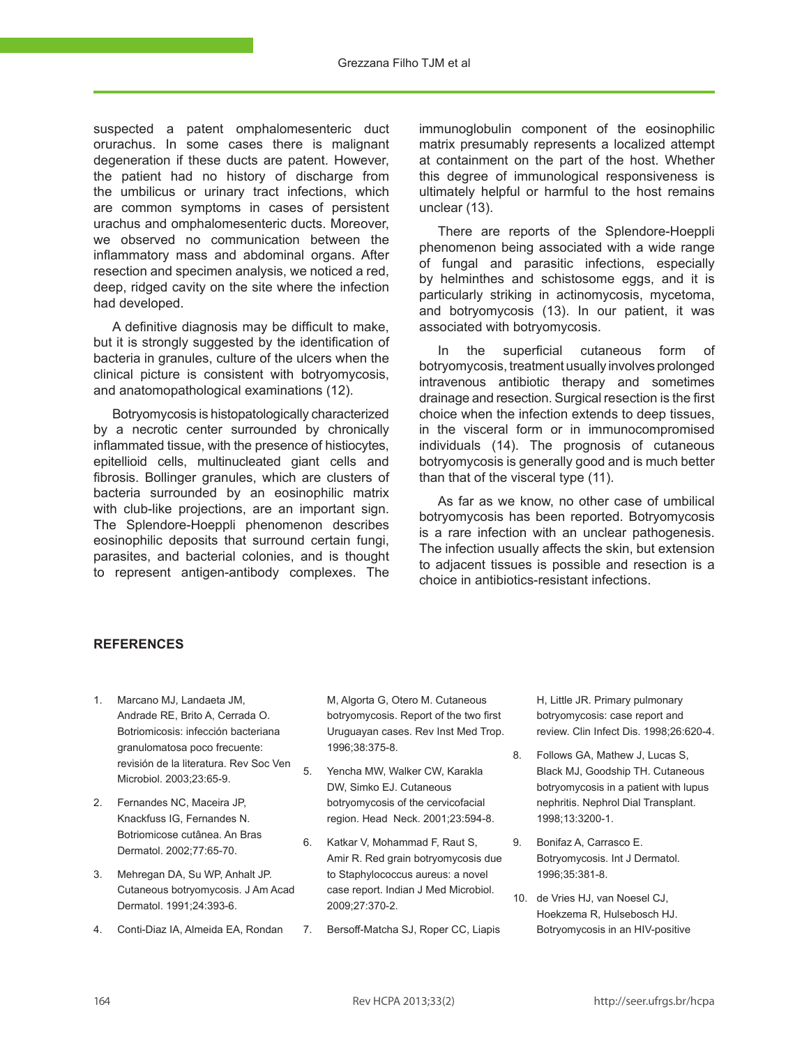Grezzana Filho TJM et al

suspected a patent omphalomesenteric duct orurachus. In some cases there is malignant degeneration if these ducts are patent. However, the patient had no history of discharge from the umbilicus or urinary tract infections, which are common symptoms in cases of persistent urachus and omphalomesenteric ducts. Moreover, we observed no communication between the inflammatory mass and abdominal organs. After resection and specimen analysis, we noticed a red, deep, ridged cavity on the site where the infection had developed.

A definitive diagnosis may be difficult to make, but it is strongly suggested by the identification of bacteria in granules, culture of the ulcers when the clinical picture is consistent with botryomycosis, and anatomopathological examinations (12).

Botryomycosis is histopatologically characterized by a necrotic center surrounded by chronically inflammated tissue, with the presence of histiocytes, epitellioid cells, multinucleated giant cells and fibrosis. Bollinger granules, which are clusters of bacteria surrounded by an eosinophilic matrix with club-like projections, are an important sign. The Splendore-Hoeppli phenomenon describes eosinophilic deposits that surround certain fungi, parasites, and bacterial colonies, and is thought to represent antigen-antibody complexes. The

immunoglobulin component of the eosinophilic matrix presumably represents a localized attempt at containment on the part of the host. Whether this degree of immunological responsiveness is ultimately helpful or harmful to the host remains unclear (13).

There are reports of the Splendore-Hoeppli phenomenon being associated with a wide range of fungal and parasitic infections, especially by helminthes and schistosome eggs, and it is particularly striking in actinomycosis, mycetoma, and botryomycosis (13). In our patient, it was associated with botryomycosis.

In the superficial cutaneous form of botryomycosis, treatment usually involves prolonged intravenous antibiotic therapy and sometimes drainage and resection. Surgical resection is the first choice when the infection extends to deep tissues, in the visceral form or in immunocompromised individuals (14). The prognosis of cutaneous botryomycosis is generally good and is much better than that of the visceral type (11).

As far as we know, no other case of umbilical botryomycosis has been reported. Botryomycosis is a rare infection with an unclear pathogenesis. The infection usually affects the skin, but extension to adjacent tissues is possible and resection is a choice in antibiotics-resistant infections.

## **ReferEncEs**

- 1. Marcano MJ, Landaeta JM, Andrade RE, Brito A, Cerrada O. Botriomicosis: infección bacteriana granulomatosa poco frecuente: revisión de la literatura. Rev Soc Ven Microbiol. 2003;23:65-9.
- 2. Fernandes NC, Maceira JP, Knackfuss IG, Fernandes N. Botriomicose cutânea. An Bras Dermatol. 2002;77:65-70.
- 3. Mehregan DA, Su WP, Anhalt JP. Cutaneous botryomycosis. J Am Acad Dermatol. 1991;24:393-6.
- 4. Conti-Diaz IA, Almeida EA, Rondan

M, Algorta G, Otero M. Cutaneous botryomycosis. Report of the two first Uruguayan cases. Rev Inst Med Trop. 1996;38:375-8.

- 5. Yencha MW, Walker CW, Karakla DW, Simko EJ. Cutaneous botryomycosis of the cervicofacial region. Head Neck. 2001;23:594-8.
- 6. Katkar V, Mohammad F, Raut S, Amir R. Red grain botryomycosis due to Staphylococcus aureus: a novel case report. Indian J Med Microbiol. 2009;27:370-2.
- 7. Bersoff-Matcha SJ, Roper CC, Liapis

H, Little JR. Primary pulmonary botryomycosis: case report and review. Clin Infect Dis. 1998;26:620-4.

- 8. Follows GA, Mathew J, Lucas S, Black MJ, Goodship TH. Cutaneous botryomycosis in a patient with lupus nephritis. Nephrol Dial Transplant. 1998;13:3200-1.
- 9. Bonifaz A, Carrasco E. Botryomycosis. Int J Dermatol. 1996;35:381-8.
- 10. de Vries HJ, van Noesel CJ, Hoekzema R, Hulsebosch HJ. Botryomycosis in an HIV-positive